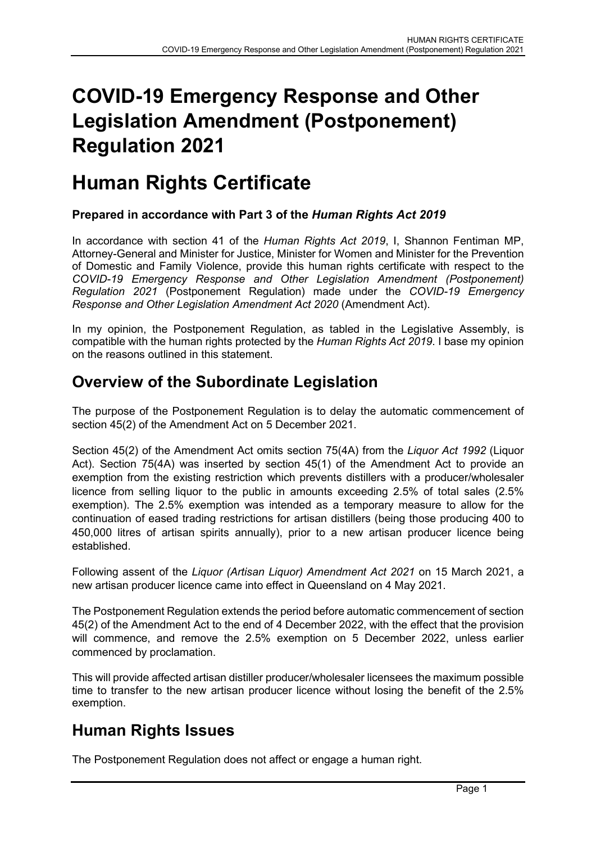# COVID-19 Emergency Response and Other Legislation Amendment (Postponement) Regulation 2021

## Human Rights Certificate

#### Prepared in accordance with Part 3 of the Human Rights Act 2019

In accordance with section 41 of the *Human Rights Act 2019*, I, Shannon Fentiman MP, Attorney-General and Minister for Justice, Minister for Women and Minister for the Prevention of Domestic and Family Violence, provide this human rights certificate with respect to the COVID-19 Emergency Response and Other Legislation Amendment (Postponement) Regulation 2021 (Postponement Regulation) made under the COVID-19 Emergency Response and Other Legislation Amendment Act 2020 (Amendment Act).

In my opinion, the Postponement Regulation, as tabled in the Legislative Assembly, is compatible with the human rights protected by the Human Rights Act 2019. I base my opinion on the reasons outlined in this statement.

### Overview of the Subordinate Legislation

The purpose of the Postponement Regulation is to delay the automatic commencement of section 45(2) of the Amendment Act on 5 December 2021.

Section 45(2) of the Amendment Act omits section 75(4A) from the Liquor Act 1992 (Liquor Act). Section 75(4A) was inserted by section 45(1) of the Amendment Act to provide an exemption from the existing restriction which prevents distillers with a producer/wholesaler licence from selling liquor to the public in amounts exceeding 2.5% of total sales (2.5% exemption). The 2.5% exemption was intended as a temporary measure to allow for the continuation of eased trading restrictions for artisan distillers (being those producing 400 to 450,000 litres of artisan spirits annually), prior to a new artisan producer licence being established.

Following assent of the Liquor (Artisan Liquor) Amendment Act 2021 on 15 March 2021, a new artisan producer licence came into effect in Queensland on 4 May 2021.

The Postponement Regulation extends the period before automatic commencement of section 45(2) of the Amendment Act to the end of 4 December 2022, with the effect that the provision will commence, and remove the 2.5% exemption on 5 December 2022, unless earlier commenced by proclamation.

This will provide affected artisan distiller producer/wholesaler licensees the maximum possible time to transfer to the new artisan producer licence without losing the benefit of the 2.5% exemption.

## Human Rights Issues

The Postponement Regulation does not affect or engage a human right.